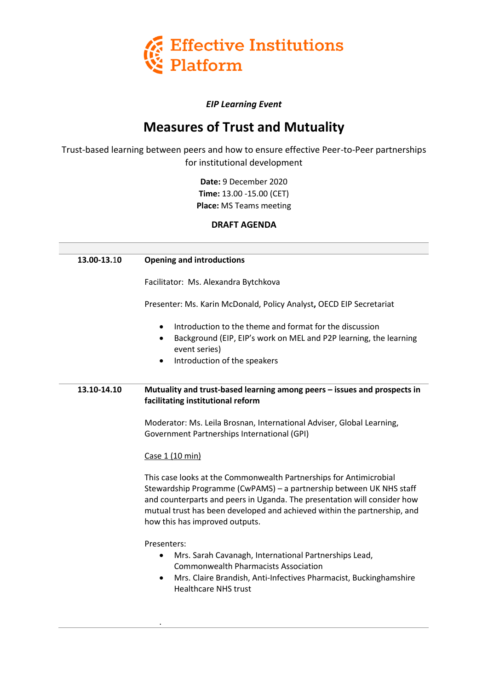

## *EIP Learning Event*

# **Measures of Trust and Mutuality**

Trust-based learning between peers and how to ensure effective Peer-to-Peer partnerships for institutional development

> **Date:** 9 December 2020 **Time:** 13.00 -15.00 (CET) **Place:** MS Teams meeting

> > **DRAFT AGENDA**

| 13.00-13.10 | <b>Opening and introductions</b>                                                                                                                                                                                                                                                                                                    |
|-------------|-------------------------------------------------------------------------------------------------------------------------------------------------------------------------------------------------------------------------------------------------------------------------------------------------------------------------------------|
|             | Facilitator: Ms. Alexandra Bytchkova                                                                                                                                                                                                                                                                                                |
|             | Presenter: Ms. Karin McDonald, Policy Analyst, OECD EIP Secretariat                                                                                                                                                                                                                                                                 |
|             | Introduction to the theme and format for the discussion<br>$\bullet$<br>Background (EIP, EIP's work on MEL and P2P learning, the learning<br>$\bullet$<br>event series)<br>Introduction of the speakers                                                                                                                             |
| 13.10-14.10 | Mutuality and trust-based learning among peers - issues and prospects in<br>facilitating institutional reform                                                                                                                                                                                                                       |
|             | Moderator: Ms. Leila Brosnan, International Adviser, Global Learning,<br>Government Partnerships International (GPI)                                                                                                                                                                                                                |
|             | Case 1 (10 min)                                                                                                                                                                                                                                                                                                                     |
|             | This case looks at the Commonwealth Partnerships for Antimicrobial<br>Stewardship Programme (CwPAMS) - a partnership between UK NHS staff<br>and counterparts and peers in Uganda. The presentation will consider how<br>mutual trust has been developed and achieved within the partnership, and<br>how this has improved outputs. |
|             | Presenters:<br>Mrs. Sarah Cavanagh, International Partnerships Lead,<br>$\bullet$<br><b>Commonwealth Pharmacists Association</b><br>Mrs. Claire Brandish, Anti-Infectives Pharmacist, Buckinghamshire<br>$\bullet$<br><b>Healthcare NHS trust</b>                                                                                   |

.